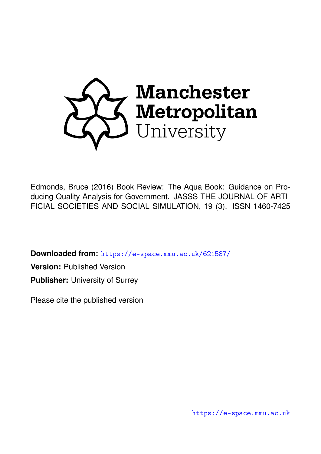

Edmonds, Bruce (2016) Book Review: The Aqua Book: Guidance on Producing Quality Analysis for Government. JASSS-THE JOURNAL OF ARTI-FICIAL SOCIETIES AND SOCIAL SIMULATION, 19 (3). ISSN 1460-7425

**Downloaded from:** <https://e-space.mmu.ac.uk/621587/>

**Version:** Published Version

**Publisher:** University of Surrey

Please cite the published version

<https://e-space.mmu.ac.uk>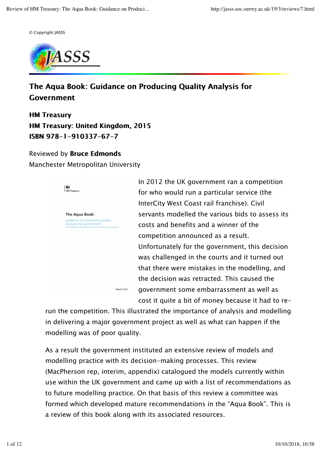© Copyright JASSS



## The Aqua Book: Guidance on Producing Quality Analysis for Government

**HM Treasury** HM Treasury: United Kingdom, 2015 ISBN 978-1-910337-67-7

## Reviewed by **Bruce Edmonds**

Manchester Metropolitan University



In 2012 the UK government ran a competition for who would run a particular service (the InterCity West Coast rail franchise). Civil servants modelled the various bids to assess its costs and benefits and a winner of the competition announced as a result. Unfortunately for the government, this decision was challenged in the courts and it turned out that there were mistakes in the modelling, and the decision was retracted. This caused the government some embarrassment as well as cost it quite a bit of money because it had to re-

run the competition. This illustrated the importance of analysis and modelling in delivering a major government project as well as what can happen if the modelling was of poor quality.

As a result the government instituted an extensive review of models and modelling practice with its decision-making processes. This review (MacPherson rep, interim, appendix) catalogued the models currently within use within the UK government and came up with a list of recommendations as to future modelling practice. On that basis of this review a committee was formed which developed mature recommendations in the "Aqua Book". This is a review of this book along with its associated resources.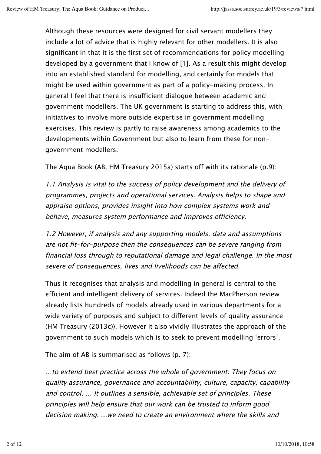Although these resources were designed for civil servant modellers they include a lot of advice that is highly relevant for other modellers. It is also significant in that it is the first set of recommendations for policy modelling developed by a government that I know of [1]. As a result this might develop into an established standard for modelling, and certainly for models that might be used within government as part of a policy-making process. In general I feel that there is insufficient dialogue between academic and government modellers. The UK government is starting to address this, with initiatives to involve more outside expertise in government modelling exercises. This review is partly to raise awareness among academics to the developments within Government but also to learn from these for nongovernment modellers.

The Aqua Book (AB, HM Treasury 2015a) starts off with its rationale (p.9):

1.1 Analysis is vital to the success of policy development and the delivery of programmes, projects and operational services. Analysis helps to shape and appraise options, provides insight into how complex systems work and behave, measures system performance and improves efficiency.

1.2 However, if analysis and any supporting models, data and assumptions are not fit-for-purpose then the consequences can be severe ranging from financial loss through to reputational damage and legal challenge. In the most severe of consequences, lives and livelihoods can be affected.

Thus it recognises that analysis and modelling in general is central to the efficient and intelligent delivery of services. Indeed the MacPherson review already lists hundreds of models already used in various departments for a wide variety of purposes and subject to different levels of quality assurance (HM Treasury (2013c)). However it also vividly illustrates the approach of the government to such models which is to seek to prevent modelling 'errors'.

The aim of AB is summarised as follows (p. 7):

…to extend best practice across the whole of government. They focus on quality assurance, governance and accountability, culture, capacity, capability and control. … It outlines a sensible, achievable set of principles. These principles will help ensure that our work can be trusted to inform good decision making. ...we need to create an environment where the skills and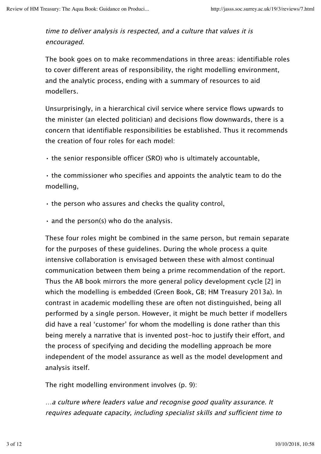time to deliver analysis is respected, and a culture that values it is encouraged.

The book goes on to make recommendations in three areas: identifiable roles to cover different areas of responsibility, the right modelling environment, and the analytic process, ending with a summary of resources to aid modellers.

Unsurprisingly, in a hierarchical civil service where service flows upwards to the minister (an elected politician) and decisions flow downwards, there is a concern that identifiable responsibilities be established. Thus it recommends the creation of four roles for each model:

• the senior responsible officer (SRO) who is ultimately accountable,

• the commissioner who specifies and appoints the analytic team to do the modelling,

• the person who assures and checks the quality control,

 $\cdot$  and the person(s) who do the analysis.

These four roles might be combined in the same person, but remain separate for the purposes of these guidelines. During the whole process a quite intensive collaboration is envisaged between these with almost continual communication between them being a prime recommendation of the report. Thus the AB book mirrors the more general policy development cycle [2] in which the modelling is embedded (Green Book, GB; HM Treasury 2013a). In contrast in academic modelling these are often not distinguished, being all performed by a single person. However, it might be much better if modellers did have a real 'customer' for whom the modelling is done rather than this being merely a narrative that is invented post-hoc to justify their effort, and the process of specifying and deciding the modelling approach be more independent of the model assurance as well as the model development and analysis itself.

The right modelling environment involves (p. 9):

…a culture where leaders value and recognise good quality assurance. It requires adequate capacity, including specialist skills and sufficient time to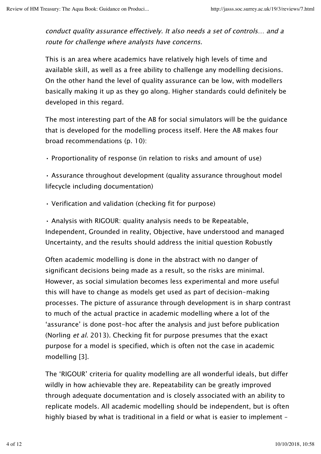conduct quality assurance effectively. It also needs a set of controls… and a route for challenge where analysts have concerns.

This is an area where academics have relatively high levels of time and available skill, as well as a free ability to challenge any modelling decisions. On the other hand the level of quality assurance can be low, with modellers basically making it up as they go along. Higher standards could definitely be developed in this regard.

The most interesting part of the AB for social simulators will be the guidance that is developed for the modelling process itself. Here the AB makes four broad recommendations (p. 10):

• Proportionality of response (in relation to risks and amount of use)

• Assurance throughout development (quality assurance throughout model lifecycle including documentation)

• Verification and validation (checking fit for purpose)

• Analysis with RIGOUR: quality analysis needs to be Repeatable, Independent, Grounded in reality, Objective, have understood and managed Uncertainty, and the results should address the initial question Robustly

Often academic modelling is done in the abstract with no danger of significant decisions being made as a result, so the risks are minimal. However, as social simulation becomes less experimental and more useful this will have to change as models get used as part of decision-making processes. The picture of assurance through development is in sharp contrast to much of the actual practice in academic modelling where a lot of the 'assurance' is done post-hoc after the analysis and just before publication (Norling et al. 2013). Checking fit for purpose presumes that the exact purpose for a model is specified, which is often not the case in academic modelling [3].

The 'RIGOUR' criteria for quality modelling are all wonderful ideals, but differ wildly in how achievable they are. Repeatability can be greatly improved through adequate documentation and is closely associated with an ability to replicate models. All academic modelling should be independent, but is often highly biased by what is traditional in a field or what is easier to implement –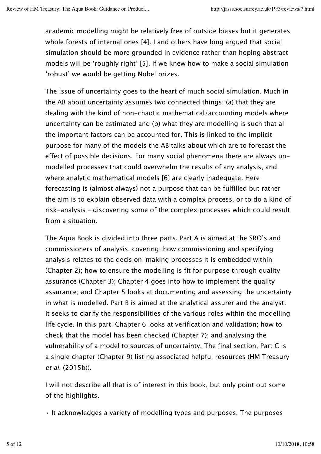academic modelling might be relatively free of outside biases but it generates whole forests of internal ones [4]. I and others have long argued that social simulation should be more grounded in evidence rather than hoping abstract models will be 'roughly right' [5]. If we knew how to make a social simulation 'robust' we would be getting Nobel prizes.

The issue of uncertainty goes to the heart of much social simulation. Much in the AB about uncertainty assumes two connected things: (a) that they are dealing with the kind of non-chaotic mathematical/accounting models where uncertainty can be estimated and (b) what they are modelling is such that all the important factors can be accounted for. This is linked to the implicit purpose for many of the models the AB talks about which are to forecast the effect of possible decisions. For many social phenomena there are always unmodelled processes that could overwhelm the results of any analysis, and where analytic mathematical models [6] are clearly inadequate. Here forecasting is (almost always) not a purpose that can be fulfilled but rather the aim is to explain observed data with a complex process, or to do a kind of risk-analysis – discovering some of the complex processes which could result from a situation.

The Aqua Book is divided into three parts. Part A is aimed at the SRO's and commissioners of analysis, covering: how commissioning and specifying analysis relates to the decision-making processes it is embedded within (Chapter 2); how to ensure the modelling is fit for purpose through quality assurance (Chapter 3); Chapter 4 goes into how to implement the quality assurance; and Chapter 5 looks at documenting and assessing the uncertainty in what is modelled. Part B is aimed at the analytical assurer and the analyst. It seeks to clarify the responsibilities of the various roles within the modelling life cycle. In this part: Chapter 6 looks at verification and validation; how to check that the model has been checked (Chapter 7); and analysing the vulnerability of a model to sources of uncertainty. The final section, Part C is a single chapter (Chapter 9) listing associated helpful resources (HM Treasury et al. (2015b)).

I will not describe all that is of interest in this book, but only point out some of the highlights.

• It acknowledges a variety of modelling types and purposes. The purposes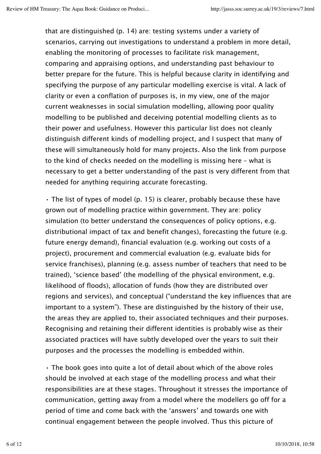that are distinguished (p. 14) are: testing systems under a variety of scenarios, carrying out investigations to understand a problem in more detail, enabling the monitoring of processes to facilitate risk management, comparing and appraising options, and understanding past behaviour to better prepare for the future. This is helpful because clarity in identifying and specifying the purpose of any particular modelling exercise is vital. A lack of clarity or even a conflation of purposes is, in my view, one of the major current weaknesses in social simulation modelling, allowing poor quality modelling to be published and deceiving potential modelling clients as to their power and usefulness. However this particular list does not cleanly distinguish different kinds of modelling project, and I suspect that many of these will simultaneously hold for many projects. Also the link from purpose to the kind of checks needed on the modelling is missing here – what is necessary to get a better understanding of the past is very different from that needed for anything requiring accurate forecasting.

• The list of types of model (p. 15) is clearer, probably because these have grown out of modelling practice within government. They are: policy simulation (to better understand the consequences of policy options, e.g. distributional impact of tax and benefit changes), forecasting the future (e.g. future energy demand), financial evaluation (e.g. working out costs of a project), procurement and commercial evaluation (e.g. evaluate bids for service franchises), planning (e.g. assess number of teachers that need to be trained), 'science based' (the modelling of the physical environment, e.g. likelihood of floods), allocation of funds (how they are distributed over regions and services), and conceptual ("understand the key influences that are important to a system"). These are distinguished by the history of their use, the areas they are applied to, their associated techniques and their purposes. Recognising and retaining their different identities is probably wise as their associated practices will have subtly developed over the years to suit their purposes and the processes the modelling is embedded within.

• The book goes into quite a lot of detail about which of the above roles should be involved at each stage of the modelling process and what their responsibilities are at these stages. Throughout it stresses the importance of communication, getting away from a model where the modellers go off for a period of time and come back with the 'answers' and towards one with continual engagement between the people involved. Thus this picture of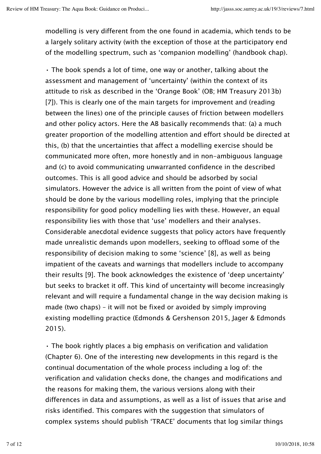modelling is very different from the one found in academia, which tends to be a largely solitary activity (with the exception of those at the participatory end of the modelling spectrum, such as 'companion modelling' (handbook chap).

• The book spends a lot of time, one way or another, talking about the assessment and management of 'uncertainty' (within the context of its attitude to risk as described in the 'Orange Book' (OB; HM Treasury 2013b) [7]). This is clearly one of the main targets for improvement and (reading between the lines) one of the principle causes of friction between modellers and other policy actors. Here the AB basically recommends that: (a) a much greater proportion of the modelling attention and effort should be directed at this, (b) that the uncertainties that affect a modelling exercise should be communicated more often, more honestly and in non-ambiguous language and (c) to avoid communicating unwarranted confidence in the described outcomes. This is all good advice and should be adsorbed by social simulators. However the advice is all written from the point of view of what should be done by the various modelling roles, implying that the principle responsibility for good policy modelling lies with these. However, an equal responsibility lies with those that 'use' modellers and their analyses. Considerable anecdotal evidence suggests that policy actors have frequently made unrealistic demands upon modellers, seeking to offload some of the responsibility of decision making to some 'science' [8], as well as being impatient of the caveats and warnings that modellers include to accompany their results [9]. The book acknowledges the existence of 'deep uncertainty' but seeks to bracket it off. This kind of uncertainty will become increasingly relevant and will require a fundamental change in the way decision making is made (two chaps) – it will not be fixed or avoided by simply improving existing modelling practice (Edmonds & Gershenson 2015, Jager & Edmonds 2015).

• The book rightly places a big emphasis on verification and validation (Chapter 6). One of the interesting new developments in this regard is the continual documentation of the whole process including a log of: the verification and validation checks done, the changes and modifications and the reasons for making them, the various versions along with their differences in data and assumptions, as well as a list of issues that arise and risks identified. This compares with the suggestion that simulators of complex systems should publish 'TRACE' documents that log similar things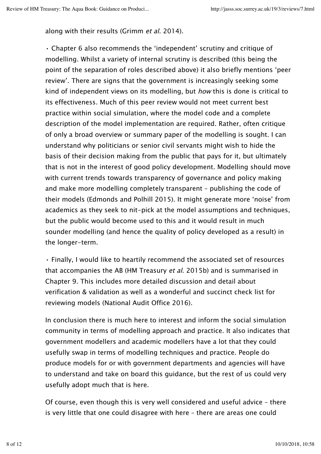along with their results (Grimm et al. 2014).

• Chapter 6 also recommends the 'independent' scrutiny and critique of modelling. Whilst a variety of internal scrutiny is described (this being the point of the separation of roles described above) it also briefly mentions 'peer review'. There are signs that the government is increasingly seeking some kind of independent views on its modelling, but how this is done is critical to its effectiveness. Much of this peer review would not meet current best practice within social simulation, where the model code and a complete description of the model implementation are required. Rather, often critique of only a broad overview or summary paper of the modelling is sought. I can understand why politicians or senior civil servants might wish to hide the basis of their decision making from the public that pays for it, but ultimately that is not in the interest of good policy development. Modelling should move with current trends towards transparency of governance and policy making and make more modelling completely transparent – publishing the code of their models (Edmonds and Polhill 2015). It might generate more 'noise' from academics as they seek to nit-pick at the model assumptions and techniques, but the public would become used to this and it would result in much sounder modelling (and hence the quality of policy developed as a result) in the longer-term.

• Finally, I would like to heartily recommend the associated set of resources that accompanies the AB (HM Treasury *et al.* 2015b) and is summarised in Chapter 9. This includes more detailed discussion and detail about verification & validation as well as a wonderful and succinct check list for reviewing models (National Audit Office 2016).

In conclusion there is much here to interest and inform the social simulation community in terms of modelling approach and practice. It also indicates that government modellers and academic modellers have a lot that they could usefully swap in terms of modelling techniques and practice. People do produce models for or with government departments and agencies will have to understand and take on board this guidance, but the rest of us could very usefully adopt much that is here.

Of course, even though this is very well considered and useful advice – there is very little that one could disagree with here – there are areas one could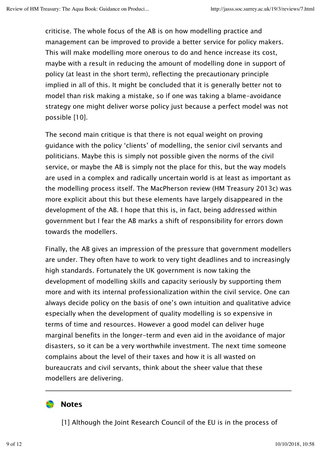criticise. The whole focus of the AB is on how modelling practice and management can be improved to provide a better service for policy makers. This will make modelling more onerous to do and hence increase its cost, maybe with a result in reducing the amount of modelling done in support of policy (at least in the short term), reflecting the precautionary principle implied in all of this. It might be concluded that it is generally better not to model than risk making a mistake, so if one was taking a blame-avoidance strategy one might deliver worse policy just because a perfect model was not possible [10].

The second main critique is that there is not equal weight on proving guidance with the policy 'clients' of modelling, the senior civil servants and politicians. Maybe this is simply not possible given the norms of the civil service, or maybe the AB is simply not the place for this, but the way models are used in a complex and radically uncertain world is at least as important as the modelling process itself. The MacPherson review (HM Treasury 2013c) was more explicit about this but these elements have largely disappeared in the development of the AB. I hope that this is, in fact, being addressed within government but I fear the AB marks a shift of responsibility for errors down towards the modellers.

Finally, the AB gives an impression of the pressure that government modellers are under. They often have to work to very tight deadlines and to increasingly high standards. Fortunately the UK government is now taking the development of modelling skills and capacity seriously by supporting them more and with its internal professionalization within the civil service. One can always decide policy on the basis of one's own intuition and qualitative advice especially when the development of quality modelling is so expensive in terms of time and resources. However a good model can deliver huge marginal benefits in the longer-term and even aid in the avoidance of major disasters, so it can be a very worthwhile investment. The next time someone complains about the level of their taxes and how it is all wasted on bureaucrats and civil servants, think about the sheer value that these modellers are delivering.

## **Notes**

[1] Although the Joint Research Council of the EU is in the process of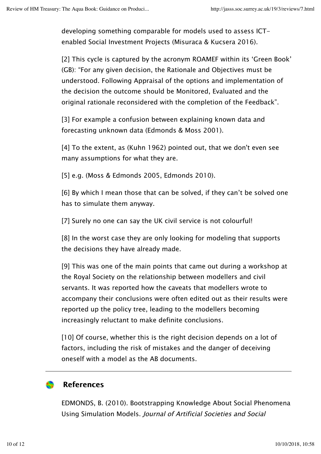developing something comparable for models used to assess ICTenabled Social Investment Projects (Misuraca & Kucsera 2016).

[2] This cycle is captured by the acronym ROAMEF within its 'Green Book' (GB): "For any given decision, the Rationale and Objectives must be understood. Following Appraisal of the options and implementation of the decision the outcome should be Monitored, Evaluated and the original rationale reconsidered with the completion of the Feedback".

[3] For example a confusion between explaining known data and forecasting unknown data (Edmonds & Moss 2001).

[4] To the extent, as (Kuhn 1962) pointed out, that we don't even see many assumptions for what they are.

[5] e.g. (Moss & Edmonds 2005, Edmonds 2010).

[6] By which I mean those that can be solved, if they can't be solved one has to simulate them anyway.

[7] Surely no one can say the UK civil service is not colourful!

[8] In the worst case they are only looking for modeling that supports the decisions they have already made.

[9] This was one of the main points that came out during a workshop at the Royal Society on the relationship between modellers and civil servants. It was reported how the caveats that modellers wrote to accompany their conclusions were often edited out as their results were reported up the policy tree, leading to the modellers becoming increasingly reluctant to make definite conclusions.

[10] Of course, whether this is the right decision depends on a lot of factors, including the risk of mistakes and the danger of deceiving oneself with a model as the AB documents.

## $\blacksquare$  References

EDMONDS, B. (2010). Bootstrapping Knowledge About Social Phenomena Using Simulation Models. Journal of Artificial Societies and Social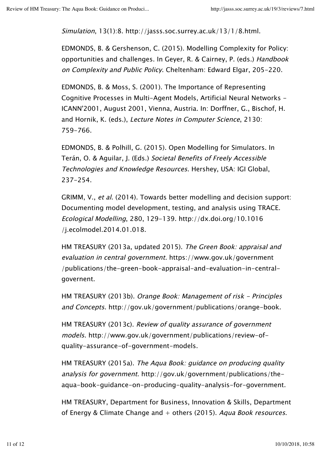Simulation, 13(1):8. http://jasss.soc.surrey.ac.uk/13/1/8.html.

EDMONDS, B. & Gershenson, C. (2015). Modelling Complexity for Policy: opportunities and challenges. In Geyer, R. & Cairney, P. (eds.) Handbook on Complexity and Public Policy. Cheltenham: Edward Elgar, 205-220.

EDMONDS, B. & Moss, S. (2001). The Importance of Representing Cognitive Processes in Multi-Agent Models, Artificial Neural Networks - ICANN'2001, August 2001, Vienna, Austria. In: Dorffner, G., Bischof, H. and Hornik, K. (eds.), Lecture Notes in Computer Science, 2130: 759-766.

EDMONDS, B. & Polhill, G. (2015). Open Modelling for Simulators. In Terán, O. & Aguilar, J. (Eds.) Societal Benefits of Freely Accessible Technologies and Knowledge Resources. Hershey, USA: IGI Global, 237-254.

GRIMM, V., et al. (2014). Towards better modelling and decision support: Documenting model development, testing, and analysis using TRACE. Ecological Modelling, 280, 129-139. http://dx.doi.org/10.1016 /j.ecolmodel.2014.01.018.

HM TREASURY (2013a, updated 2015). The Green Book: appraisal and evaluation in central government. https://www.gov.uk/government /publications/the-green-book-appraisal-and-evaluation-in-centralgovernent.

HM TREASURY (2013b). Orange Book: Management of risk - Principles and Concepts. http://gov.uk/government/publications/orange-book.

HM TREASURY (2013c). Review of quality assurance of government models. http://www.gov.uk/government/publications/review-ofquality-assurance-of-government-models.

HM TREASURY (2015a). The Aqua Book: guidance on producing quality analysis for government. http://gov.uk/government/publications/theaqua-book-guidance-on-producing-quality-analysis-for-government.

HM TREASURY, Department for Business, Innovation & Skills, Department of Energy & Climate Change and  $+$  others (2015). Aqua Book resources.